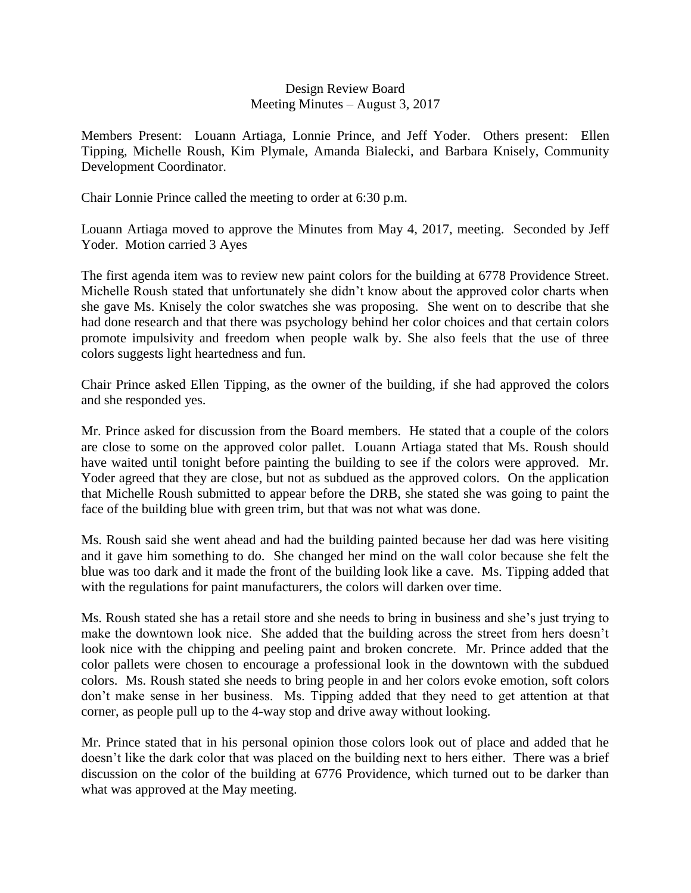## Design Review Board Meeting Minutes – August 3, 2017

Members Present: Louann Artiaga, Lonnie Prince, and Jeff Yoder. Others present: Ellen Tipping, Michelle Roush, Kim Plymale, Amanda Bialecki, and Barbara Knisely, Community Development Coordinator.

Chair Lonnie Prince called the meeting to order at 6:30 p.m.

Louann Artiaga moved to approve the Minutes from May 4, 2017, meeting. Seconded by Jeff Yoder. Motion carried 3 Ayes

The first agenda item was to review new paint colors for the building at 6778 Providence Street. Michelle Roush stated that unfortunately she didn't know about the approved color charts when she gave Ms. Knisely the color swatches she was proposing. She went on to describe that she had done research and that there was psychology behind her color choices and that certain colors promote impulsivity and freedom when people walk by. She also feels that the use of three colors suggests light heartedness and fun.

Chair Prince asked Ellen Tipping, as the owner of the building, if she had approved the colors and she responded yes.

Mr. Prince asked for discussion from the Board members. He stated that a couple of the colors are close to some on the approved color pallet. Louann Artiaga stated that Ms. Roush should have waited until tonight before painting the building to see if the colors were approved. Mr. Yoder agreed that they are close, but not as subdued as the approved colors. On the application that Michelle Roush submitted to appear before the DRB, she stated she was going to paint the face of the building blue with green trim, but that was not what was done.

Ms. Roush said she went ahead and had the building painted because her dad was here visiting and it gave him something to do. She changed her mind on the wall color because she felt the blue was too dark and it made the front of the building look like a cave. Ms. Tipping added that with the regulations for paint manufacturers, the colors will darken over time.

Ms. Roush stated she has a retail store and she needs to bring in business and she's just trying to make the downtown look nice. She added that the building across the street from hers doesn't look nice with the chipping and peeling paint and broken concrete. Mr. Prince added that the color pallets were chosen to encourage a professional look in the downtown with the subdued colors. Ms. Roush stated she needs to bring people in and her colors evoke emotion, soft colors don't make sense in her business. Ms. Tipping added that they need to get attention at that corner, as people pull up to the 4-way stop and drive away without looking.

Mr. Prince stated that in his personal opinion those colors look out of place and added that he doesn't like the dark color that was placed on the building next to hers either. There was a brief discussion on the color of the building at 6776 Providence, which turned out to be darker than what was approved at the May meeting.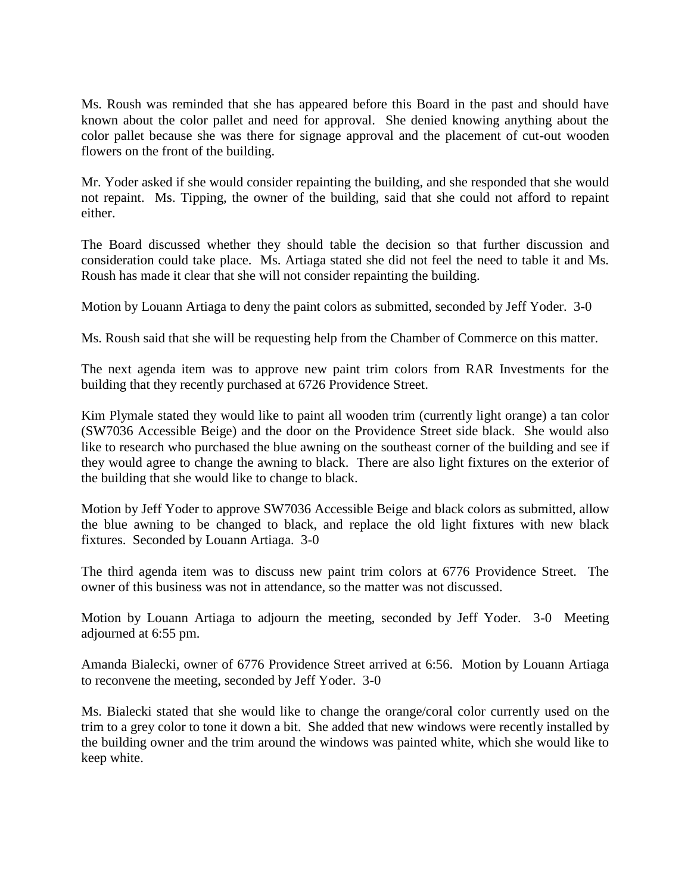Ms. Roush was reminded that she has appeared before this Board in the past and should have known about the color pallet and need for approval. She denied knowing anything about the color pallet because she was there for signage approval and the placement of cut-out wooden flowers on the front of the building.

Mr. Yoder asked if she would consider repainting the building, and she responded that she would not repaint. Ms. Tipping, the owner of the building, said that she could not afford to repaint either.

The Board discussed whether they should table the decision so that further discussion and consideration could take place. Ms. Artiaga stated she did not feel the need to table it and Ms. Roush has made it clear that she will not consider repainting the building.

Motion by Louann Artiaga to deny the paint colors as submitted, seconded by Jeff Yoder. 3-0

Ms. Roush said that she will be requesting help from the Chamber of Commerce on this matter.

The next agenda item was to approve new paint trim colors from RAR Investments for the building that they recently purchased at 6726 Providence Street.

Kim Plymale stated they would like to paint all wooden trim (currently light orange) a tan color (SW7036 Accessible Beige) and the door on the Providence Street side black. She would also like to research who purchased the blue awning on the southeast corner of the building and see if they would agree to change the awning to black. There are also light fixtures on the exterior of the building that she would like to change to black.

Motion by Jeff Yoder to approve SW7036 Accessible Beige and black colors as submitted, allow the blue awning to be changed to black, and replace the old light fixtures with new black fixtures. Seconded by Louann Artiaga. 3-0

The third agenda item was to discuss new paint trim colors at 6776 Providence Street. The owner of this business was not in attendance, so the matter was not discussed.

Motion by Louann Artiaga to adjourn the meeting, seconded by Jeff Yoder. 3-0 Meeting adjourned at 6:55 pm.

Amanda Bialecki, owner of 6776 Providence Street arrived at 6:56. Motion by Louann Artiaga to reconvene the meeting, seconded by Jeff Yoder. 3-0

Ms. Bialecki stated that she would like to change the orange/coral color currently used on the trim to a grey color to tone it down a bit. She added that new windows were recently installed by the building owner and the trim around the windows was painted white, which she would like to keep white.